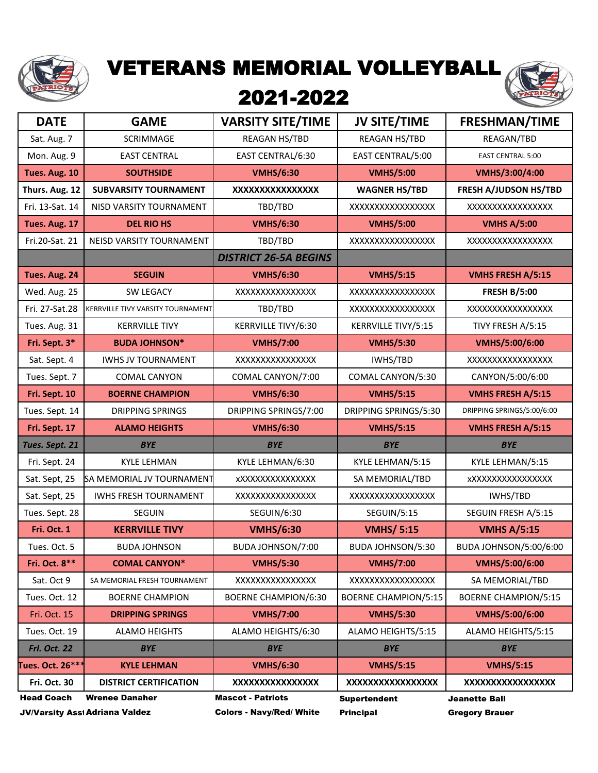

## VETERANS MEMORIAL VOLLEYBALL

## 2021-2022



| <b>DATE</b>         | <b>GAME</b>                              | <b>VARSITY SITE/TIME</b>        | <b>JV SITE/TIME</b>         | <b>FRESHMAN/TIME</b>         |
|---------------------|------------------------------------------|---------------------------------|-----------------------------|------------------------------|
| Sat. Aug. 7         | SCRIMMAGE                                | REAGAN HS/TBD                   | REAGAN HS/TBD               | REAGAN/TBD                   |
| Mon. Aug. 9         | <b>EAST CENTRAL</b>                      | EAST CENTRAL/6:30               | EAST CENTRAL/5:00           | <b>EAST CENTRAL 5:00</b>     |
| Tues. Aug. 10       | <b>SOUTHSIDE</b>                         | <b>VMHS/6:30</b>                | <b>VMHS/5:00</b>            | VMHS/3:00/4:00               |
| Thurs. Aug. 12      | <b>SUBVARSITY TOURNAMENT</b>             | XXXXXXXXXXXXXXXX                | <b>WAGNER HS/TBD</b>        | <b>FRESH A/JUDSON HS/TBD</b> |
| Fri. 13-Sat. 14     | NISD VARSITY TOURNAMENT                  | TBD/TBD                         | XXXXXXXXXXXXXXXX            | XXXXXXXXXXXXXXXX             |
| Tues. Aug. 17       | <b>DEL RIO HS</b>                        | <b>VMHS/6:30</b>                | <b>VMHS/5:00</b>            | <b>VMHS A/5:00</b>           |
| Fri.20-Sat. 21      | NEISD VARSITY TOURNAMENT                 | TBD/TBD                         | XXXXXXXXXXXXXXXXX           | XXXXXXXXXXXXXXXXX            |
|                     |                                          | <b>DISTRICT 26-5A BEGINS</b>    |                             |                              |
| Tues. Aug. 24       | <b>SEGUIN</b>                            | <b>VMHS/6:30</b>                | <b>VMHS/5:15</b>            | <b>VMHS FRESH A/5:15</b>     |
| Wed. Aug. 25        | <b>SW LEGACY</b>                         | XXXXXXXXXXXXXXX                 | XXXXXXXXXXXXXXXX            | <b>FRESH B/5:00</b>          |
| Fri. 27-Sat.28      | <b>KERRVILLE TIVY VARSITY TOURNAMENT</b> | TBD/TBD                         | XXXXXXXXXXXXXXXXX           | XXXXXXXXXXXXXXXX             |
| Tues. Aug. 31       | <b>KERRVILLE TIVY</b>                    | KERRVILLE TIVY/6:30             | KERRVILLE TIVY/5:15         | TIVY FRESH A/5:15            |
| Fri. Sept. 3*       | <b>BUDA JOHNSON*</b>                     | <b>VMHS/7:00</b>                | <b>VMHS/5:30</b>            | VMHS/5:00/6:00               |
| Sat. Sept. 4        | <b>IWHS JV TOURNAMENT</b>                | XXXXXXXXXXXXXXX                 | IWHS/TBD                    | XXXXXXXXXXXXXXXXX            |
| Tues. Sept. 7       | <b>COMAL CANYON</b>                      | COMAL CANYON/7:00               | COMAL CANYON/5:30           | CANYON/5:00/6:00             |
| Fri. Sept. 10       | <b>BOERNE CHAMPION</b>                   | <b>VMHS/6:30</b>                | <b>VMHS/5:15</b>            | <b>VMHS FRESH A/5:15</b>     |
| Tues. Sept. 14      | <b>DRIPPING SPRINGS</b>                  | DRIPPING SPRINGS/7:00           | DRIPPING SPRINGS/5:30       | DRIPPING SPRINGS/5:00/6:00   |
| Fri. Sept. 17       | <b>ALAMO HEIGHTS</b>                     | <b>VMHS/6:30</b>                | <b>VMHS/5:15</b>            | <b>VMHS FRESH A/5:15</b>     |
| Tues. Sept. 21      | <b>BYE</b>                               | <b>BYE</b>                      | <b>BYE</b>                  | <b>BYE</b>                   |
| Fri. Sept. 24       | <b>KYLE LEHMAN</b>                       | KYLE LEHMAN/6:30                | KYLE LEHMAN/5:15            | KYLE LEHMAN/5:15             |
| Sat. Sept, 25       | SA MEMORIAL JV TOURNAMENT                | <b>xXXXXXXXXXXXXXXX</b>         | SA MEMORIAL/TBD             | <b>xXXXXXXXXXXXXXXXX</b>     |
| Sat. Sept, 25       | <b>IWHS FRESH TOURNAMENT</b>             | XXXXXXXXXXXXXXX                 | XXXXXXXXXXXXXXXX            | IWHS/TBD                     |
| Tues. Sept. 28      | <b>SEGUIN</b>                            | <b>SEGUIN/6:30</b>              | <b>SEGUIN/5:15</b>          | SEGUIN FRESH A/5:15          |
| Fri. Oct. 1         | <b>KERRVILLE TIVY</b>                    | <b>VMHS/6:30</b>                | <b>VMHS/ 5:15</b>           | <b>VMHS A/5:15</b>           |
| Tues. Oct. 5        | <b>BUDA JOHNSON</b>                      | BUDA JOHNSON/7:00               | BUDA JOHNSON/5:30           | BUDA JOHNSON/5:00/6:00       |
| Fri. Oct. 8**       | <b>COMAL CANYON*</b>                     | <b>VMHS/5:30</b>                | <b>VMHS/7:00</b>            | VMHS/5:00/6:00               |
| Sat. Oct 9          | SA MEMORIAL FRESH TOURNAMENT             | XXXXXXXXXXXXXXX                 | XXXXXXXXXXXXXXXXX           | SA MEMORIAL/TBD              |
| Tues. Oct. 12       | <b>BOERNE CHAMPION</b>                   | <b>BOERNE CHAMPION/6:30</b>     | <b>BOERNE CHAMPION/5:15</b> | <b>BOERNE CHAMPION/5:15</b>  |
| Fri. Oct. 15        | <b>DRIPPING SPRINGS</b>                  | <b>VMHS/7:00</b>                | <b>VMHS/5:30</b>            | VMHS/5:00/6:00               |
| Tues. Oct. 19       | <b>ALAMO HEIGHTS</b>                     | ALAMO HEIGHTS/6:30              | ALAMO HEIGHTS/5:15          | ALAMO HEIGHTS/5:15           |
| <b>Frl. Oct. 22</b> | <b>BYE</b>                               | <b>BYE</b>                      | <b>BYE</b>                  | <b>BYE</b>                   |
| Tues. Oct. 26***    | <b>KYLE LEHMAN</b>                       | <b>VMHS/6:30</b>                | <b>VMHS/5:15</b>            | <b>VMHS/5:15</b>             |
| <b>Fri. Oct. 30</b> | <b>DISTRICT CERTIFICATION</b>            | XXXXXXXXXXXXXXXX                | XXXXXXXXXXXXXXXXX           | XXXXXXXXXXXXXXXX             |
| <b>Head Coach</b>   | <b>Wrenee Danaher</b>                    | <b>Mascot - Patriots</b>        | <b>Supertendent</b>         | <b>Jeanette Ball</b>         |
|                     | <b>JV/Varsity Asst Adriana Valdez</b>    | <b>Colors - Navy/Red/ White</b> | <b>Principal</b>            | <b>Gregory Brauer</b>        |